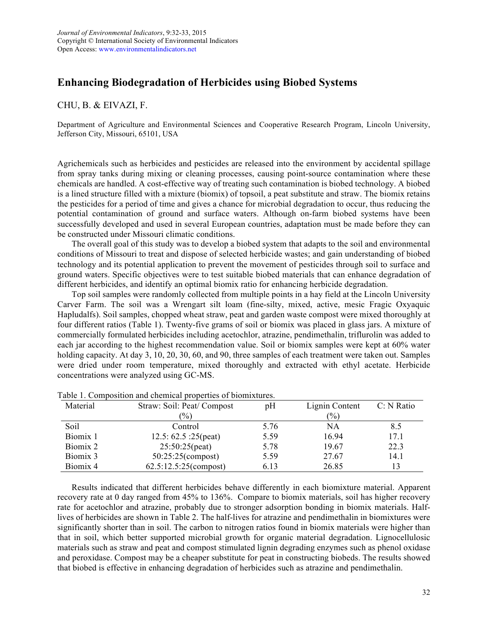## **Enhancing Biodegradation of Herbicides using Biobed Systems**

## CHU, B. & EIVAZI, F.

Department of Agriculture and Environmental Sciences and Cooperative Research Program, Lincoln University, Jefferson City, Missouri, 65101, USA

Agrichemicals such as herbicides and pesticides are released into the environment by accidental spillage from spray tanks during mixing or cleaning processes, causing point-source contamination where these chemicals are handled. A cost-effective way of treating such contamination is biobed technology. A biobed is a lined structure filled with a mixture (biomix) of topsoil, a peat substitute and straw. The biomix retains the pesticides for a period of time and gives a chance for microbial degradation to occur, thus reducing the potential contamination of ground and surface waters. Although on-farm biobed systems have been successfully developed and used in several European countries, adaptation must be made before they can be constructed under Missouri climatic conditions.

The overall goal of this study was to develop a biobed system that adapts to the soil and environmental conditions of Missouri to treat and dispose of selected herbicide wastes; and gain understanding of biobed technology and its potential application to prevent the movement of pesticides through soil to surface and ground waters. Specific objectives were to test suitable biobed materials that can enhance degradation of different herbicides, and identify an optimal biomix ratio for enhancing herbicide degradation.

Top soil samples were randomly collected from multiple points in a hay field at the Lincoln University Carver Farm. The soil was a Wrengart silt loam (fine-silty, mixed, active, mesic Fragic Oxyaquic Hapludalfs). Soil samples, chopped wheat straw, peat and garden waste compost were mixed thoroughly at four different ratios (Table 1). Twenty-five grams of soil or biomix was placed in glass jars. A mixture of commercially formulated herbicides including acetochlor, atrazine, pendimethalin, triflurolin was added to each jar according to the highest recommendation value. Soil or biomix samples were kept at 60% water holding capacity. At day 3, 10, 20, 30, 60, and 90, three samples of each treatment were taken out. Samples were dried under room temperature, mixed thoroughly and extracted with ethyl acetate. Herbicide concentrations were analyzed using GC-MS.

| Material | Straw: Soil: Peat/ Compost | pΗ   | Lignin Content | C: N Ratio |
|----------|----------------------------|------|----------------|------------|
|          | $(\%)$                     |      | $(\%)$         |            |
| Soil     | Control                    | 5.76 | <b>NA</b>      | 8.5        |
| Biomix 1 | 12.5: $62.5$ : $25$ (peat) | 5.59 | 16.94          | 17.1       |
| Biomix 2 | $25:50:25$ (peat)          | 5.78 | 19.67          | 22.3       |
| Biomix 3 | 50:25:25(compost)          | 5.59 | 27.67          | 14.1       |
| Biomix 4 | 62.5:12.5:25(compost)      | 6.13 | 26.85          | 13         |

Table 1. Composition and chemical properties of biomixtures.

Results indicated that different herbicides behave differently in each biomixture material. Apparent recovery rate at 0 day ranged from 45% to 136%. Compare to biomix materials, soil has higher recovery rate for acetochlor and atrazine, probably due to stronger adsorption bonding in biomix materials. Halflives of herbicides are shown in Table 2. The half-lives for atrazine and pendimethalin in biomixtures were significantly shorter than in soil. The carbon to nitrogen ratios found in biomix materials were higher than that in soil, which better supported microbial growth for organic material degradation. Lignocellulosic materials such as straw and peat and compost stimulated lignin degrading enzymes such as phenol oxidase and peroxidase. Compost may be a cheaper substitute for peat in constructing biobeds. The results showed that biobed is effective in enhancing degradation of herbicides such as atrazine and pendimethalin.